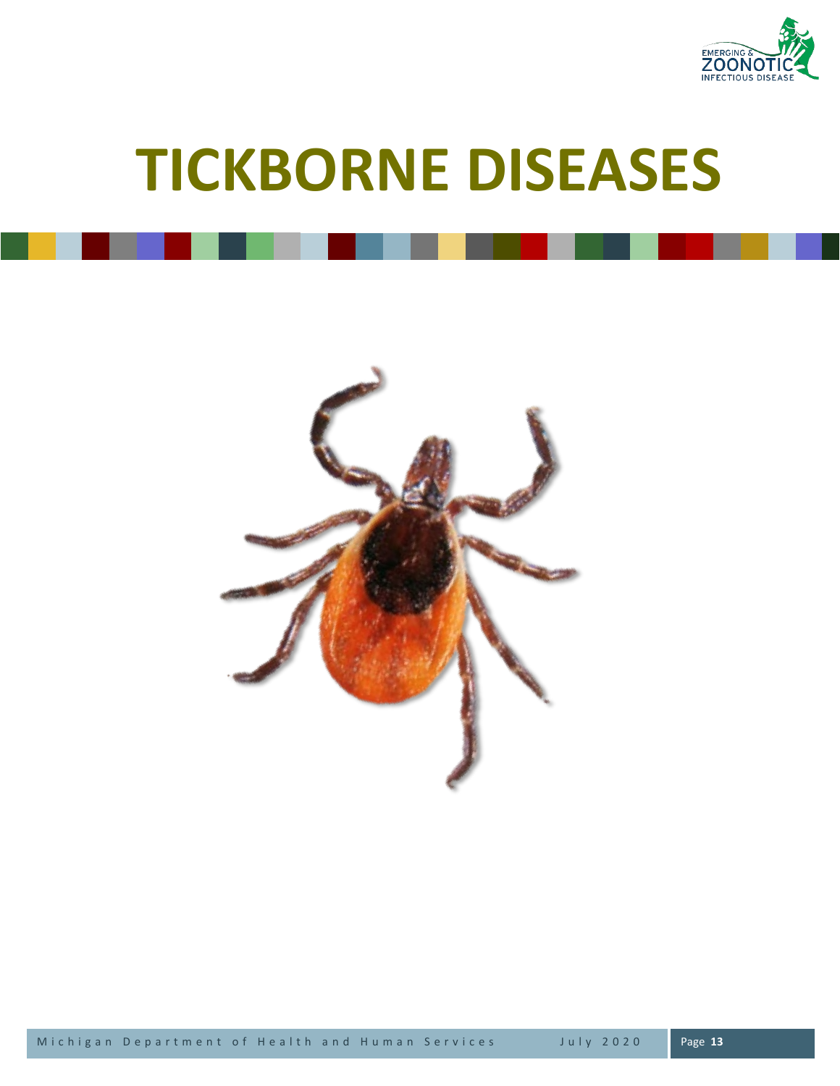

# **TICKBORNE DISEASES**

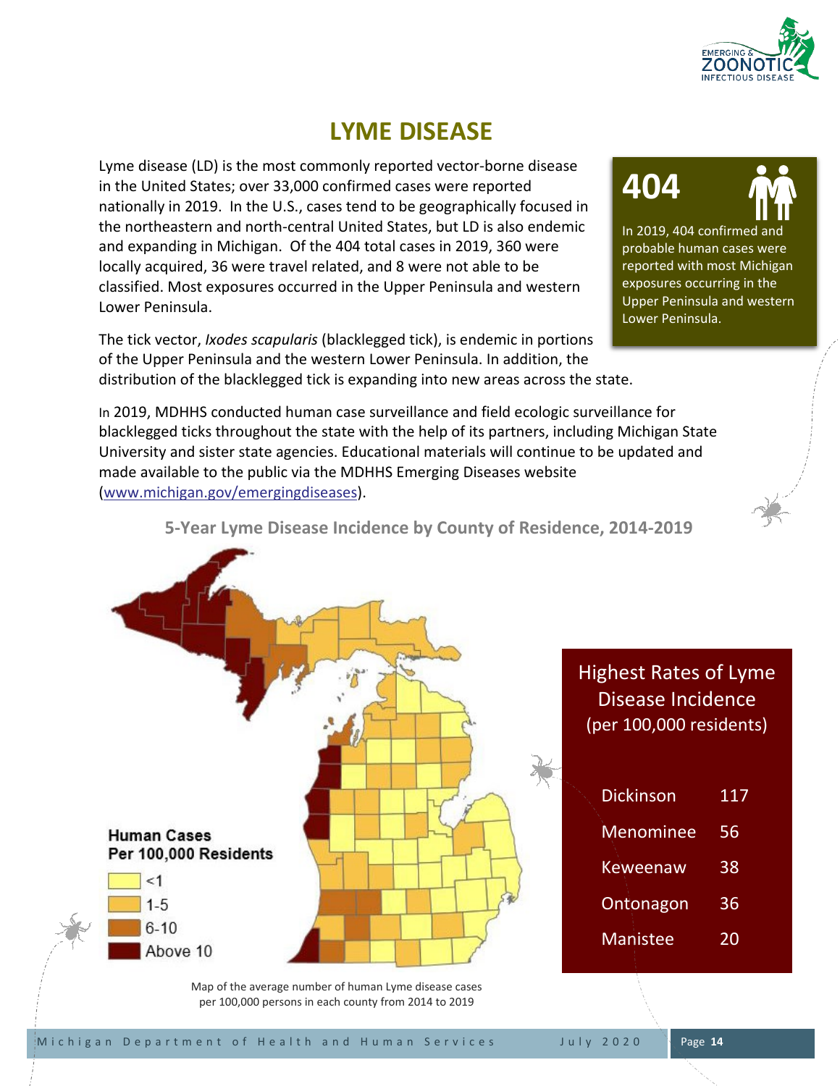

# **LYME DISEASE**

Lyme disease (LD) is the most commonly reported vector-borne disease in the United States; over 33,000 confirmed cases were reported nationally in 2019. In the U.S., cases tend to be geographically focused in the northeastern and north-central United States, but LD is also endemic and expanding in Michigan. Of the 404 total cases in 2019, 360 were locally acquired, 36 were travel related, and 8 were not able to be classified. Most exposures occurred in the Upper Peninsula and western Lower Peninsula.

The tick vector, *Ixodes scapularis* (blacklegged tick), is endemic in portions of the Upper Peninsula and the western Lower Peninsula. In addition, the distribution of the blacklegged tick is expanding into new areas across the state.

In 2019, MDHHS conducted human case surveillance and field ecologic surveillance for blacklegged ticks throughout the state with the help of its partners, including Michigan State University and sister state agencies. Educational materials will continue to be updated and made available to the public via the MDHHS Emerging Diseases website [\(www.michigan.gov/emergingdiseases\)](http://www.michigan.gov/emergingdiseases).



In 2019, 404 confirmed and probable human cases were reported with most Michigan exposures occurring in the Upper Peninsula and western Lower Peninsula.



**5-Year Lyme Disease Incidence by County of Residence, 2014-2019**



Map of the average number of human Lyme disease cases per 100,000 persons in each county from 2014 to 2019

Highest Rates of Lyme Disease Incidence (per 100,000 residents)

| <b>Dickinson</b> | 117 |
|------------------|-----|
| Menominee        | 56  |
| Keweenaw         | 38  |
| Ontonagon        | 36  |
| <b>Manistee</b>  | 20  |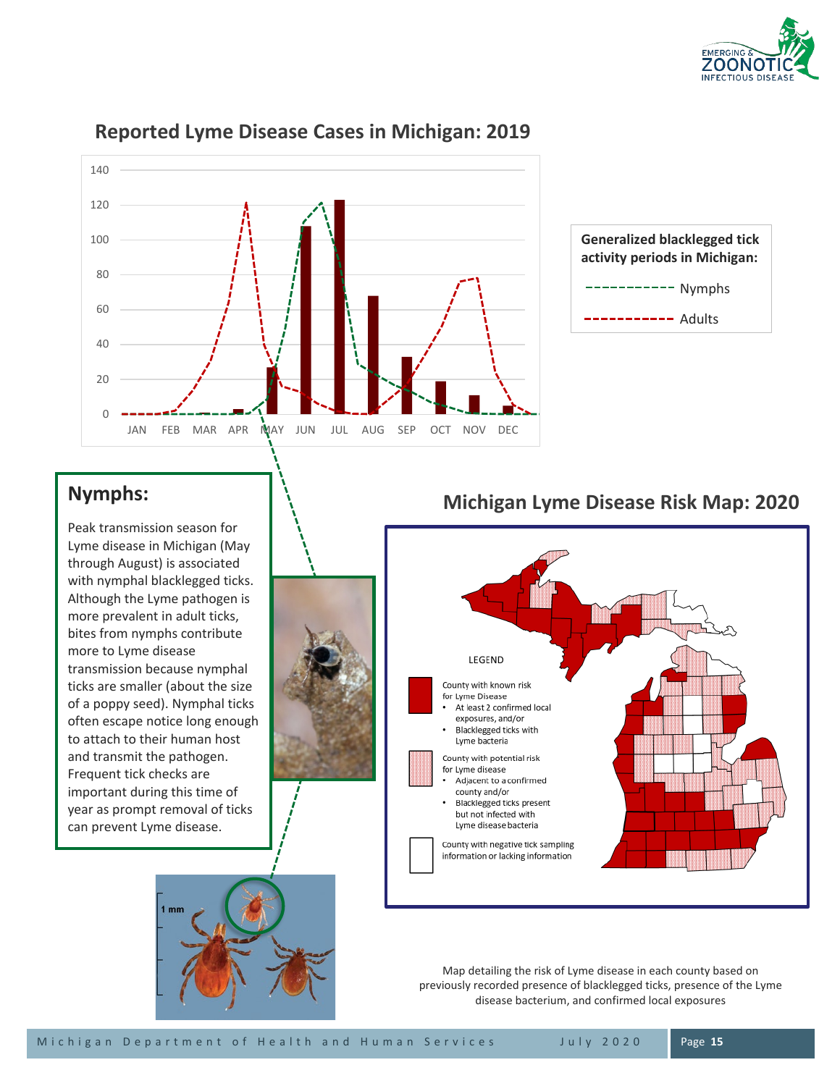



### **Reported Lyme Disease Cases in Michigan: 2019**



# **Nymphs:**

Peak transmission season for Lyme disease in Michigan (May through August) is associated with nymphal blacklegged ticks. Although the Lyme pathogen is more prevalent in adult ticks, bites from nymphs contribute more to Lyme disease transmission because nymphal ticks are smaller (about the size of a poppy seed). Nymphal ticks often escape notice long enough to attach to their human host and transmit the pathogen. Frequent tick checks are important during this time of year as prompt removal of ticks can prevent Lyme disease.



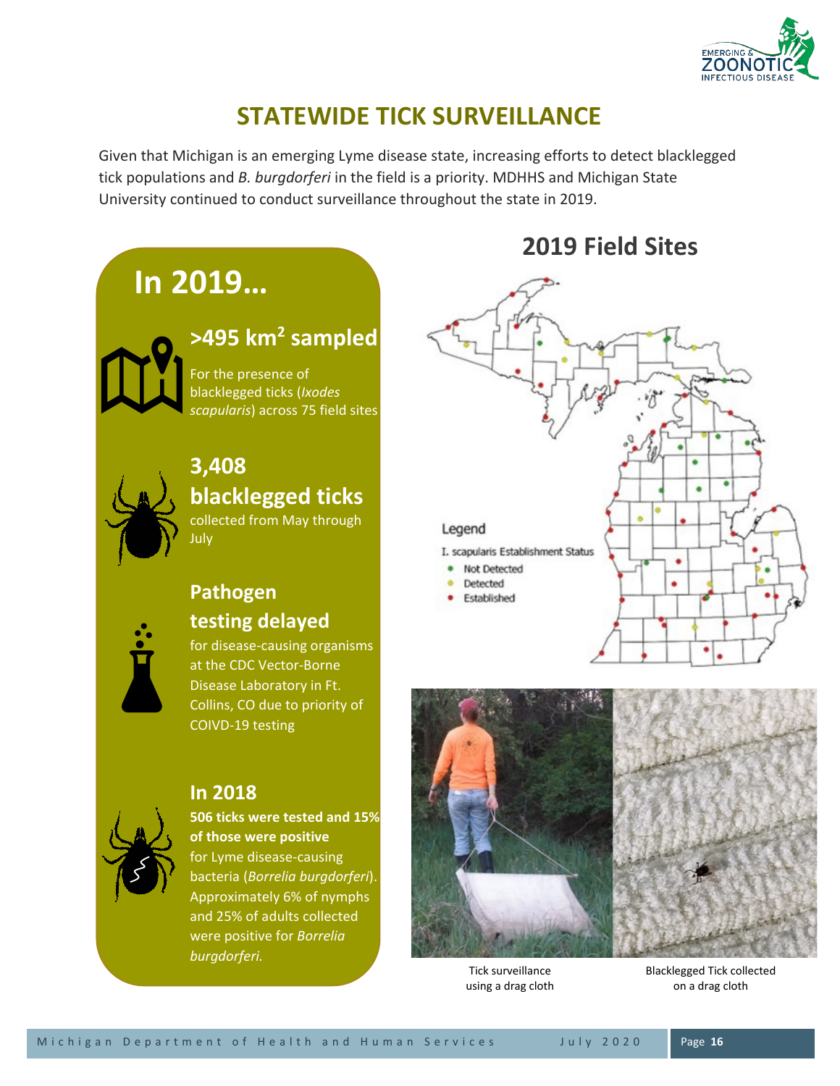

# **STATEWIDE TICK SURVEILLANCE**

Given that Michigan is an emerging Lyme disease state, increasing efforts to detect blacklegged tick populations and *B. burgdorferi* in the field is a priority. MDHHS and Michigan State University continued to conduct surveillance throughout the state in 2019.



**506 ticks were tested and 15% of those were positive** for Lyme disease-causing bacteria (*Borrelia burgdorferi*). Approximately 6% of nymphs and 25% of adults collected were positive for *Borrelia burgdorferi.*

# **In 2018**

Tick surveillance using a drag cloth

Blacklegged Tick collected on a drag cloth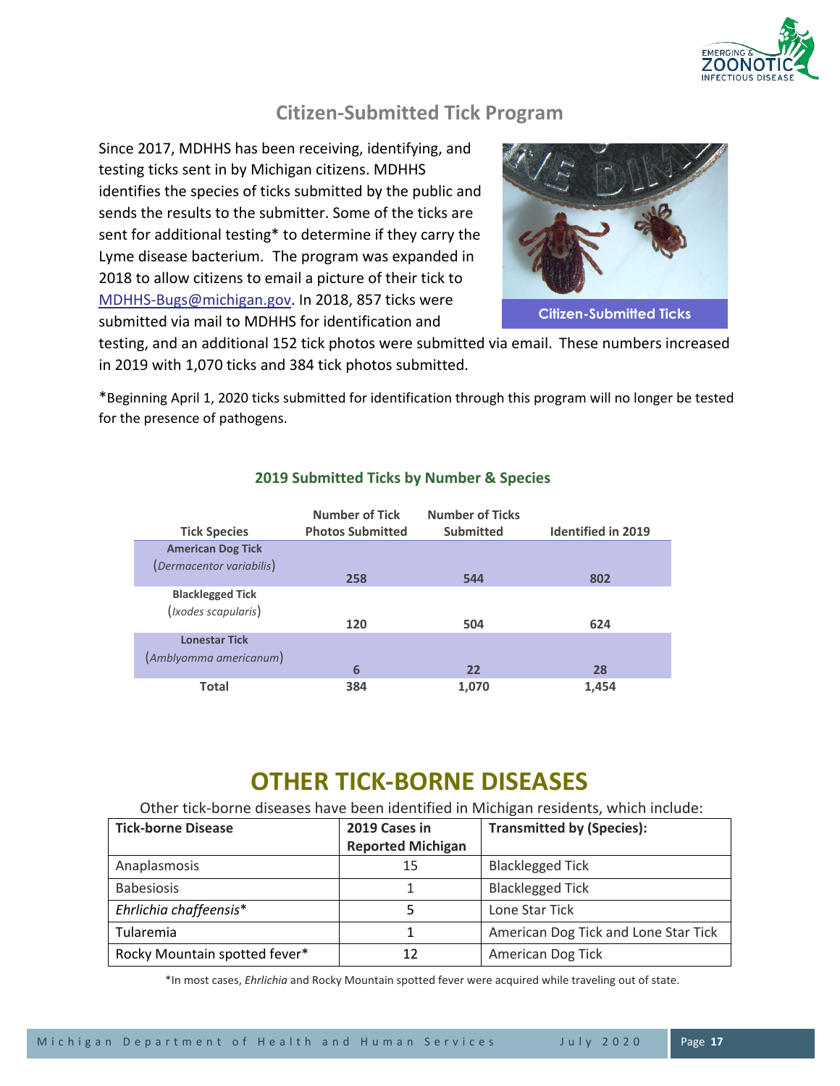

## **Citizen-Submitted Tick Program**

Since 2017, MDHHS has been receiving, identifying, and testing ticks sent in by Michigan citizens. MDHHS identifies the species of ticks submitted by the public and sends the results to the submitter. Some of the ticks are sent for additional testing\* to determine if they carry the Lyme disease bacterium. The program was expanded in 2018 to allow citizens to email a picture of their tick to [MDHHS-Bugs@michigan.gov.](mailto:MDHHS-Bugs@michigan.govfor) In 2018, 857 ticks were submitted via mail to MDHHS for identification and



testing, and an additional 152 tick photos were submitted via email. These numbers increased in 2019 with 1,070 ticks and 384 tick photos submitted.

\*Beginning April 1, 2020 ticks submitted for identification through this program will no longer be tested for the presence of pathogens.

| <b>Tick Species</b>                            | <b>Number of Tick</b><br><b>Photos Submitted</b> | <b>Number of Ticks</b><br><b>Submitted</b> | <b>Identified in 2019</b> |
|------------------------------------------------|--------------------------------------------------|--------------------------------------------|---------------------------|
| <b>American Dog Tick</b>                       |                                                  |                                            |                           |
| (Dermacentor variabilis)                       | 258                                              | 544                                        | 802                       |
| <b>Blacklegged Tick</b><br>(Ixodes scapularis) |                                                  |                                            |                           |
|                                                | 120                                              | 504                                        | 624                       |
| <b>Lonestar Tick</b>                           |                                                  |                                            |                           |
| (Amblyomma americanum)                         |                                                  |                                            |                           |
|                                                | 6                                                | 22                                         | 28                        |
| <b>Total</b>                                   | 384                                              | 1,070                                      | 1,454                     |

#### **2019 Submitted Ticks by Number & Species**

# **OTHER TICK-BORNE DISEASES**

Other tick-borne diseases have been identified in Michigan residents, which include:

| <b>Tick-borne Disease</b>     | 2019 Cases in<br><b>Reported Michigan</b> | <b>Transmitted by (Species):</b>     |
|-------------------------------|-------------------------------------------|--------------------------------------|
| Anaplasmosis                  | 15                                        | <b>Blacklegged Tick</b>              |
| <b>Babesiosis</b>             |                                           | <b>Blacklegged Tick</b>              |
| Ehrlichia chaffeensis*        |                                           | Lone Star Tick                       |
| Tularemia                     |                                           | American Dog Tick and Lone Star Tick |
| Rocky Mountain spotted fever* | 12                                        | American Dog Tick                    |

\*In most cases, *Ehrlichia* and Rocky Mountain spotted fever were acquired while traveling out of state.